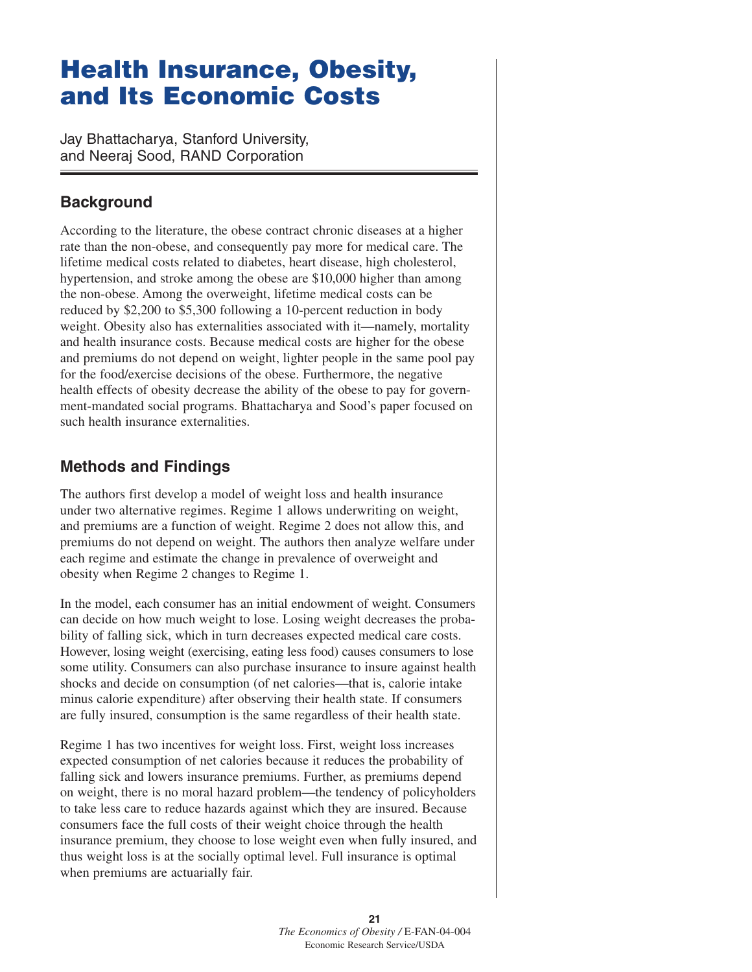# **Health Insurance, Obesity, and Its Economic Costs**

Jay Bhattacharya, Stanford University, and Neeraj Sood, RAND Corporation

# **Background**

According to the literature, the obese contract chronic diseases at a higher rate than the non-obese, and consequently pay more for medical care. The lifetime medical costs related to diabetes, heart disease, high cholesterol, hypertension, and stroke among the obese are \$10,000 higher than among the non-obese. Among the overweight, lifetime medical costs can be reduced by \$2,200 to \$5,300 following a 10-percent reduction in body weight. Obesity also has externalities associated with it—namely, mortality and health insurance costs. Because medical costs are higher for the obese and premiums do not depend on weight, lighter people in the same pool pay for the food/exercise decisions of the obese. Furthermore, the negative health effects of obesity decrease the ability of the obese to pay for government-mandated social programs. Bhattacharya and Sood's paper focused on such health insurance externalities.

## **Methods and Findings**

The authors first develop a model of weight loss and health insurance under two alternative regimes. Regime 1 allows underwriting on weight, and premiums are a function of weight. Regime 2 does not allow this, and premiums do not depend on weight. The authors then analyze welfare under each regime and estimate the change in prevalence of overweight and obesity when Regime 2 changes to Regime 1.

In the model, each consumer has an initial endowment of weight. Consumers can decide on how much weight to lose. Losing weight decreases the probability of falling sick, which in turn decreases expected medical care costs. However, losing weight (exercising, eating less food) causes consumers to lose some utility. Consumers can also purchase insurance to insure against health shocks and decide on consumption (of net calories—that is, calorie intake minus calorie expenditure) after observing their health state. If consumers are fully insured, consumption is the same regardless of their health state.

Regime 1 has two incentives for weight loss. First, weight loss increases expected consumption of net calories because it reduces the probability of falling sick and lowers insurance premiums. Further, as premiums depend on weight, there is no moral hazard problem—the tendency of policyholders to take less care to reduce hazards against which they are insured. Because consumers face the full costs of their weight choice through the health insurance premium, they choose to lose weight even when fully insured, and thus weight loss is at the socially optimal level. Full insurance is optimal when premiums are actuarially fair.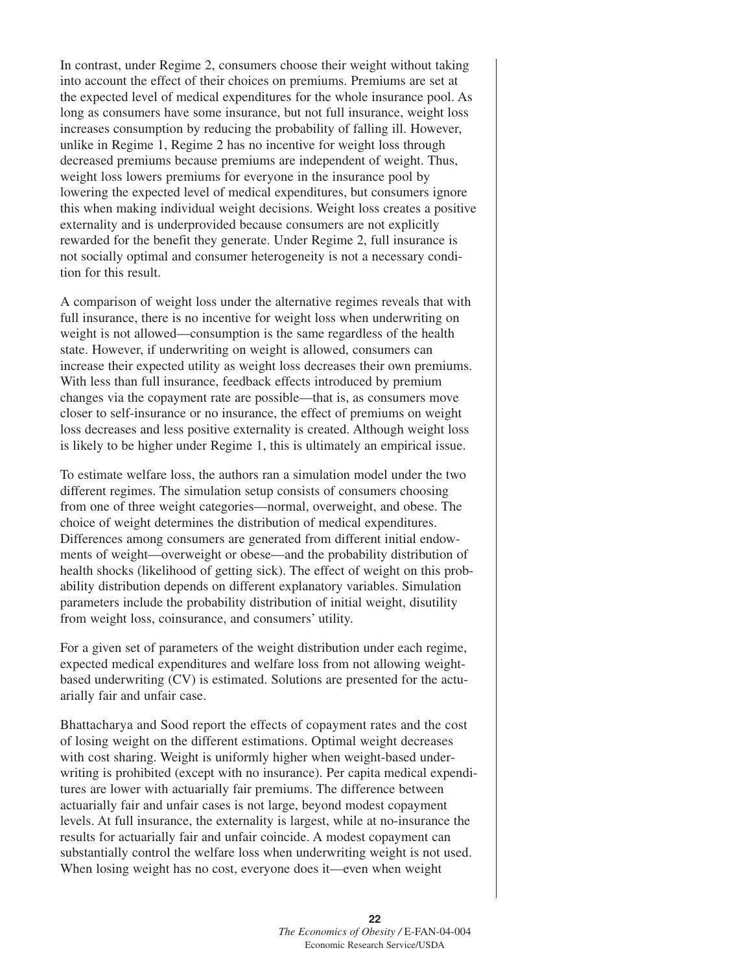In contrast, under Regime 2, consumers choose their weight without taking into account the effect of their choices on premiums. Premiums are set at the expected level of medical expenditures for the whole insurance pool. As long as consumers have some insurance, but not full insurance, weight loss increases consumption by reducing the probability of falling ill. However, unlike in Regime 1, Regime 2 has no incentive for weight loss through decreased premiums because premiums are independent of weight. Thus, weight loss lowers premiums for everyone in the insurance pool by lowering the expected level of medical expenditures, but consumers ignore this when making individual weight decisions. Weight loss creates a positive externality and is underprovided because consumers are not explicitly rewarded for the benefit they generate. Under Regime 2, full insurance is not socially optimal and consumer heterogeneity is not a necessary condition for this result.

A comparison of weight loss under the alternative regimes reveals that with full insurance, there is no incentive for weight loss when underwriting on weight is not allowed—consumption is the same regardless of the health state. However, if underwriting on weight is allowed, consumers can increase their expected utility as weight loss decreases their own premiums. With less than full insurance, feedback effects introduced by premium changes via the copayment rate are possible—that is, as consumers move closer to self-insurance or no insurance, the effect of premiums on weight loss decreases and less positive externality is created. Although weight loss is likely to be higher under Regime 1, this is ultimately an empirical issue.

To estimate welfare loss, the authors ran a simulation model under the two different regimes. The simulation setup consists of consumers choosing from one of three weight categories—normal, overweight, and obese. The choice of weight determines the distribution of medical expenditures. Differences among consumers are generated from different initial endowments of weight—overweight or obese—and the probability distribution of health shocks (likelihood of getting sick). The effect of weight on this probability distribution depends on different explanatory variables. Simulation parameters include the probability distribution of initial weight, disutility from weight loss, coinsurance, and consumers' utility.

For a given set of parameters of the weight distribution under each regime, expected medical expenditures and welfare loss from not allowing weightbased underwriting (CV) is estimated. Solutions are presented for the actuarially fair and unfair case.

Bhattacharya and Sood report the effects of copayment rates and the cost of losing weight on the different estimations. Optimal weight decreases with cost sharing. Weight is uniformly higher when weight-based underwriting is prohibited (except with no insurance). Per capita medical expenditures are lower with actuarially fair premiums. The difference between actuarially fair and unfair cases is not large, beyond modest copayment levels. At full insurance, the externality is largest, while at no-insurance the results for actuarially fair and unfair coincide. A modest copayment can substantially control the welfare loss when underwriting weight is not used. When losing weight has no cost, everyone does it—even when weight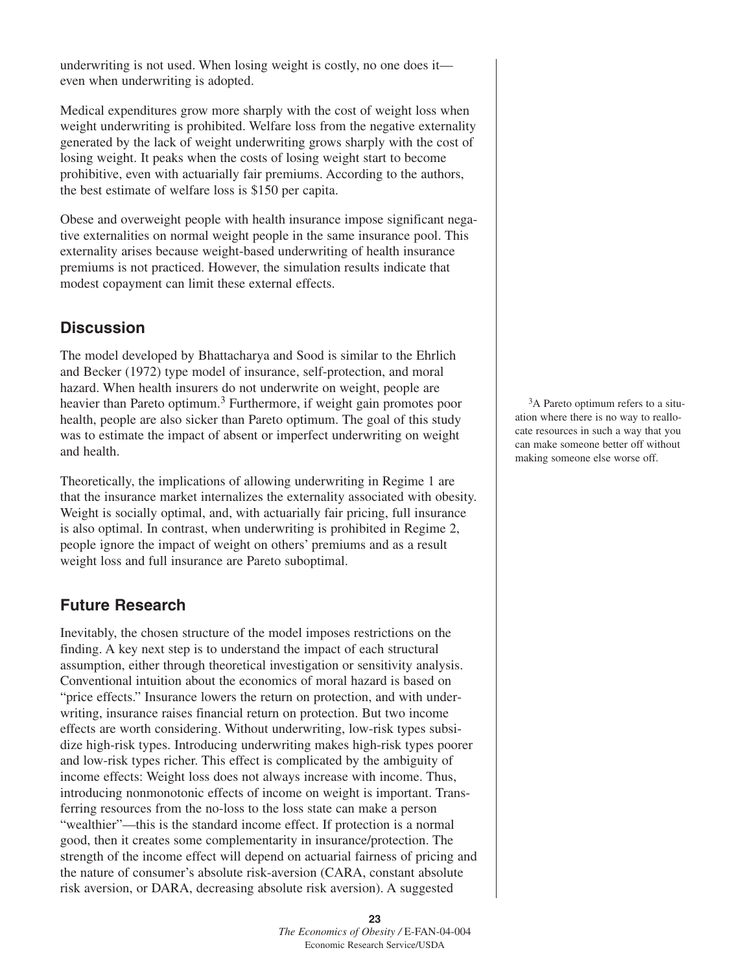underwriting is not used. When losing weight is costly, no one does it even when underwriting is adopted.

Medical expenditures grow more sharply with the cost of weight loss when weight underwriting is prohibited. Welfare loss from the negative externality generated by the lack of weight underwriting grows sharply with the cost of losing weight. It peaks when the costs of losing weight start to become prohibitive, even with actuarially fair premiums. According to the authors, the best estimate of welfare loss is \$150 per capita.

Obese and overweight people with health insurance impose significant negative externalities on normal weight people in the same insurance pool. This externality arises because weight-based underwriting of health insurance premiums is not practiced. However, the simulation results indicate that modest copayment can limit these external effects.

### **Discussion**

The model developed by Bhattacharya and Sood is similar to the Ehrlich and Becker (1972) type model of insurance, self-protection, and moral hazard. When health insurers do not underwrite on weight, people are heavier than Pareto optimum.<sup>3</sup> Furthermore, if weight gain promotes poor health, people are also sicker than Pareto optimum. The goal of this study was to estimate the impact of absent or imperfect underwriting on weight and health.

Theoretically, the implications of allowing underwriting in Regime 1 are that the insurance market internalizes the externality associated with obesity. Weight is socially optimal, and, with actuarially fair pricing, full insurance is also optimal. In contrast, when underwriting is prohibited in Regime 2, people ignore the impact of weight on others' premiums and as a result weight loss and full insurance are Pareto suboptimal.

### **Future Research**

Inevitably, the chosen structure of the model imposes restrictions on the finding. A key next step is to understand the impact of each structural assumption, either through theoretical investigation or sensitivity analysis. Conventional intuition about the economics of moral hazard is based on "price effects." Insurance lowers the return on protection, and with underwriting, insurance raises financial return on protection. But two income effects are worth considering. Without underwriting, low-risk types subsidize high-risk types. Introducing underwriting makes high-risk types poorer and low-risk types richer. This effect is complicated by the ambiguity of income effects: Weight loss does not always increase with income. Thus, introducing nonmonotonic effects of income on weight is important. Transferring resources from the no-loss to the loss state can make a person "wealthier"—this is the standard income effect. If protection is a normal good, then it creates some complementarity in insurance/protection. The strength of the income effect will depend on actuarial fairness of pricing and the nature of consumer's absolute risk-aversion (CARA, constant absolute risk aversion, or DARA, decreasing absolute risk aversion). A suggested

<sup>3</sup>A Pareto optimum refers to a situation where there is no way to reallocate resources in such a way that you can make someone better off without making someone else worse off.